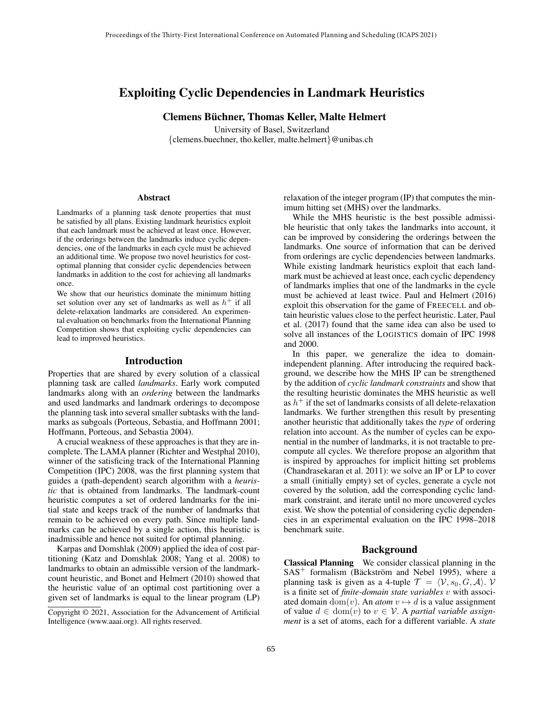# Exploiting Cyclic Dependencies in Landmark Heuristics

Clemens Büchner, Thomas Keller, Malte Helmert

University of Basel, Switzerland {clemens.buechner, tho.keller, malte.helmert}@unibas.ch

#### Abstract

Landmarks of a planning task denote properties that must be satisfied by all plans. Existing landmark heuristics exploit that each landmark must be achieved at least once. However, if the orderings between the landmarks induce cyclic dependencies, one of the landmarks in each cycle must be achieved an additional time. We propose two novel heuristics for costoptimal planning that consider cyclic dependencies between landmarks in addition to the cost for achieving all landmarks once.

We show that our heuristics dominate the minimum hitting set solution over any set of landmarks as well as  $h^+$  if all delete-relaxation landmarks are considered. An experimental evaluation on benchmarks from the International Planning Competition shows that exploiting cyclic dependencies can lead to improved heuristics.

### Introduction

Properties that are shared by every solution of a classical planning task are called *landmarks*. Early work computed landmarks along with an *ordering* between the landmarks and used landmarks and landmark orderings to decompose the planning task into several smaller subtasks with the landmarks as subgoals (Porteous, Sebastia, and Hoffmann 2001; Hoffmann, Porteous, and Sebastia 2004).

A crucial weakness of these approaches is that they are incomplete. The LAMA planner (Richter and Westphal 2010), winner of the satisficing track of the International Planning Competition (IPC) 2008, was the first planning system that guides a (path-dependent) search algorithm with a *heuristic* that is obtained from landmarks. The landmark-count heuristic computes a set of ordered landmarks for the initial state and keeps track of the number of landmarks that remain to be achieved on every path. Since multiple landmarks can be achieved by a single action, this heuristic is inadmissible and hence not suited for optimal planning.

Karpas and Domshlak (2009) applied the idea of cost partitioning (Katz and Domshlak 2008; Yang et al. 2008) to landmarks to obtain an admissible version of the landmarkcount heuristic, and Bonet and Helmert (2010) showed that the heuristic value of an optimal cost partitioning over a given set of landmarks is equal to the linear program (LP) relaxation of the integer program (IP) that computes the minimum hitting set (MHS) over the landmarks.

While the MHS heuristic is the best possible admissible heuristic that only takes the landmarks into account, it can be improved by considering the orderings between the landmarks. One source of information that can be derived from orderings are cyclic dependencies between landmarks. While existing landmark heuristics exploit that each landmark must be achieved at least once, each cyclic dependency of landmarks implies that one of the landmarks in the cycle must be achieved at least twice. Paul and Helmert (2016) exploit this observation for the game of FREECELL and obtain heuristic values close to the perfect heuristic. Later, Paul et al. (2017) found that the same idea can also be used to solve all instances of the LOGISTICS domain of IPC 1998 and 2000.

In this paper, we generalize the idea to domainindependent planning. After introducing the required background, we describe how the MHS IP can be strengthened by the addition of *cyclic landmark constraints* and show that the resulting heuristic dominates the MHS heuristic as well as  $h^+$  if the set of landmarks consists of all delete-relaxation landmarks. We further strengthen this result by presenting another heuristic that additionally takes the *type* of ordering relation into account. As the number of cycles can be exponential in the number of landmarks, it is not tractable to precompute all cycles. We therefore propose an algorithm that is inspired by approaches for implicit hitting set problems (Chandrasekaran et al. 2011): we solve an IP or LP to cover a small (initially empty) set of cycles, generate a cycle not covered by the solution, add the corresponding cyclic landmark constraint, and iterate until no more uncovered cycles exist. We show the potential of considering cyclic dependencies in an experimental evaluation on the IPC 1998–2018 benchmark suite.

#### Background

Classical Planning We consider classical planning in the  $SAS^+$  formalism (Bäckström and Nebel 1995), where a planning task is given as a 4-tuple  $\mathcal{T} = \langle V, s_0, G, \mathcal{A} \rangle$ . V is a finite set of *finite-domain state variables* v with associated domain dom(v). An *atom*  $v \mapsto d$  is a value assignment of value  $d \in \text{dom}(v)$  to  $v \in V$ . A *partial variable assignment* is a set of atoms, each for a different variable. A *state*

Copyright © 2021, Association for the Advancement of Artificial Intelligence (www.aaai.org). All rights reserved.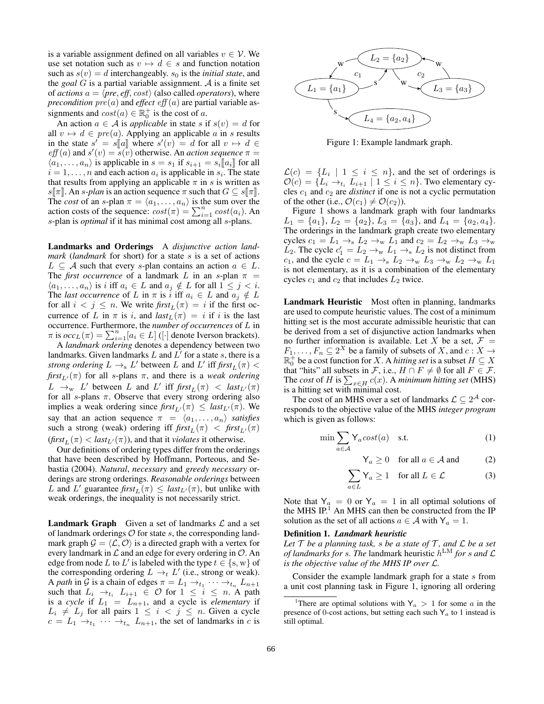is a variable assignment defined on all variables  $v \in V$ . We use set notation such as  $v \mapsto d \in s$  and function notation such as  $s(v) = d$  interchangeably.  $s_0$  is the *initial state*, and the *goal*  $G$  is a partial variable assignment.  $A$  is a finite set of *actions*  $a = \langle pre, eff, cost \rangle$  (also called *operators*), where *precondition*  $pre(a)$  and *effect*  $eff(a)$  are partial variable assignments and  $cost(a) \in \mathbb{R}_0^+$  is the cost of a.

An action  $a \in A$  is *applicable* in state s if  $s(v) = d$  for all  $v \mapsto d \in pre(a)$ . Applying an applicable a in s results in the state  $s' = s[[a]]$  where  $s'(v) = d$  for all  $v \mapsto d \in$ <br>eff(a) and  $s'(v) = s(v)$  otherwise. An action sequence  $\pi$  $eff(a)$  and  $s'(v) = \overline{s(v)}$  otherwise. An *action sequence*  $\pi =$  $\langle a_1, \ldots, a_n \rangle$  is applicable in  $s = s_1$  if  $s_{i+1} = s_i \llbracket a_i \rrbracket$  for all  $i = 1, \dots, n$  and each action  $a_i$  is applicable in  $s_i$ . The state that results from applying an applicable  $\pi$  in s is written as  $s\llbracket \pi \rrbracket$ . An s-plan is an action sequence  $\pi$  such that  $G \subseteq s\llbracket \pi \rrbracket$ . The *cost* of an *s*-plan  $\pi = \langle a_1, \ldots, a_n \rangle$  is the sum over the action costs of the sequence:  $cost(\pi) = \sum_{i=1}^{n} cost(a_i)$ . An s-plan is *optimal* if it has minimal cost among all s-plans.

Landmarks and Orderings A *disjunctive action landmark* (*landmark* for short) for a state s is a set of actions  $L \subseteq A$  such that every s-plan contains an action  $a \in L$ . The *first occurrence* of a landmark L in an s-plan  $\pi$  =  $\langle a_1, \ldots, a_n \rangle$  is i iff  $a_i \in L$  and  $a_j \notin L$  for all  $1 \leq j < i$ . The *last occurrence* of L in  $\pi$  is i iff  $a_i \in L$  and  $a_j \notin L$ for all  $i < j \leq n$ . We write  $\text{first}_L(\pi) = i$  if the first occurrence of L in  $\pi$  is i, and  $last_L(\pi) = i$  if i is the last occurrence. Furthermore, the *number of occurrences* of L in  $\pi$  is  $occ_L(\pi) = \sum_{i=1}^n [a_i \in L]$  ([·] denote Iverson brackets).

A *landmark ordering* denotes a dependency between two landmarks. Given landmarks L and  $L^{\prime}$  for a state s, there is a *strong ordering*  $L \rightarrow_s L'$  between L and L' iff  $\text{first}_L(\pi)$  <  $first_{L}(\pi)$  for all s-plans  $\pi$ , and there is a *weak ordering*  $L \rightarrow_w L'$  between L and L' iff  $\int f \cdot r f_L(\pi) \, d\pi$ for all s-plans  $\pi$ . Observe that every strong ordering also implies a weak ordering since  $first_{L'}(\pi) \leq last_{L'}(\pi)$ . We say that an action sequence  $\pi = \langle a_1, \ldots, a_n \rangle$  *satisfies* such a strong (weak) ordering iff  $\text{first}_{L}(\pi) < \text{first}_{L'}(\pi)$  $(first_L(\pi) < last_{L'}(\pi))$ , and that it *violates* it otherwise.

Our definitions of ordering types differ from the orderings that have been described by Hoffmann, Porteous, and Sebastia (2004). *Natural*, *necessary* and *greedy necessary* orderings are strong orderings. *Reasonable orderings* between L and L' guarantee  $\text{first}_L(\pi) \leq \text{last}_{L'}(\pi)$ , but unlike with weak orderings, the inequality is not necessarily strict.

**Landmark Graph** Given a set of landmarks  $\mathcal{L}$  and a set of landmark orderings  $O$  for state  $s$ , the corresponding landmark graph  $\mathcal{G} = \langle \mathcal{L}, \mathcal{O} \rangle$  is a directed graph with a vertex for every landmark in  $\mathcal L$  and an edge for every ordering in  $\mathcal O$ . An edge from node L to L' is labeled with the type  $t \in \{s, w\}$  of the corresponding ordering  $L \rightarrow_t L'$  (i.e., strong or weak). A *path* in G is a chain of edges  $\pi = L_1 \rightarrow t_1 \cdots \rightarrow t_n L_{n+1}$ such that  $L_i \rightarrow_{t_i} L_{i+1} \in \mathcal{O}$  for  $1 \leq i \leq n$ . A path is a *cycle* if  $L_1 = L_{n+1}$ , and a cycle is *elementary* if  $L_i \neq L_j$  for all pairs  $1 \leq i \leq j \leq n$ . Given a cycle  $c = L_1 \rightarrow_{t_1} \cdots \rightarrow_{t_n} L_{n+1}$ , the set of landmarks in c is



Figure 1: Example landmark graph.

 $\mathcal{L}(c) = \{L_i \mid 1 \leq i \leq n\}$ , and the set of orderings is  $\mathcal{O}(c) = \{L_i \rightarrow_{t_i} \overline{L_{i+1}} \mid 1 \leq i \leq n\}$ . Two elementary cycles  $c_1$  and  $c_2$  are *distinct* if one is not a cyclic permutation of the other (i.e.,  $\mathcal{O}(c_1) \neq \mathcal{O}(c_2)$ ).

Figure 1 shows a landmark graph with four landmarks  $L_1 = \{a_1\}, L_2 = \{a_2\}, L_3 = \{a_3\}, \text{ and } L_4 = \{a_2, a_4\}.$ The orderings in the landmark graph create two elementary cycles  $c_1 = L_1 \rightarrow_s L_2 \rightarrow_w L_1$  and  $c_2 = L_2 \rightarrow_w L_3 \rightarrow_w$  $\overline{L}_2$ . The cycle  $c'_1 = L_2 \rightarrow_w L_1 \rightarrow_s L_2$  is not distinct from c<sub>1</sub>, and the cycle  $c = L_1 \rightarrow_s L_2 \rightarrow_w L_3 \rightarrow_w L_2 \rightarrow_w L_1$ is not elementary, as it is a combination of the elementary cycles  $c_1$  and  $c_2$  that includes  $L_2$  twice.

Landmark Heuristic Most often in planning, landmarks are used to compute heuristic values. The cost of a minimum hitting set is the most accurate admissible heuristic that can be derived from a set of disjunctive action landmarks when no further information is available. Let X be a set,  $\mathcal{F}$  =  $F_1, \ldots, F_n \subseteq 2^X$  be a family of subsets of X, and  $c: X \to Y$  $\mathbb{R}^{\div}_{0}$  be a cost function for X. A *hitting set* is a subset  $H \subseteq X$ that "hits" all subsets in F, i.e.,  $H \cap F \neq \emptyset$  for all  $F \in \mathcal{F}$ . The *cost* of H is  $\sum_{x \in H} c(x)$ . A *minimum hitting set* (MHS) is a hitting set with minimal cost.

The cost of an MHS over a set of landmarks  $\mathcal{L} \subseteq 2^{\mathcal{A}}$  corresponds to the objective value of the MHS *integer program* which is given as follows:

$$
\min \sum_{a \in \mathcal{A}} \mathsf{Y}_a \text{cost}(a) \quad \text{s.t.} \tag{1}
$$

$$
\mathsf{Y}_a \ge 0 \quad \text{for all } a \in \mathcal{A} \text{ and } \tag{2}
$$

$$
\sum_{a \in L} \mathsf{Y}_a \ge 1 \quad \text{for all } L \in \mathcal{L} \tag{3}
$$

Note that  $Y_a = 0$  or  $Y_a = 1$  in all optimal solutions of the MHS IP.<sup>1</sup> An MHS can then be constructed from the IP solution as the set of all actions  $a \in \mathcal{A}$  with  $Y_a = 1$ .

#### Definition 1. *Landmark heuristic*

Let  $\mathcal T$  *be a planning task, s be a state of*  $\mathcal T$ *, and*  $\mathcal L$  *be a set of landmarks for* s*. The* landmark heuristic h LM *for* s *and* L *is the objective value of the MHS IP over* L*.*

Consider the example landmark graph for a state  $s$  from a unit cost planning task in Figure 1, ignoring all ordering

<sup>&</sup>lt;sup>1</sup>There are optimal solutions with  $Y_a > 1$  for some a in the presence of 0-cost actions, but setting each such  $Y_a$  to 1 instead is still optimal.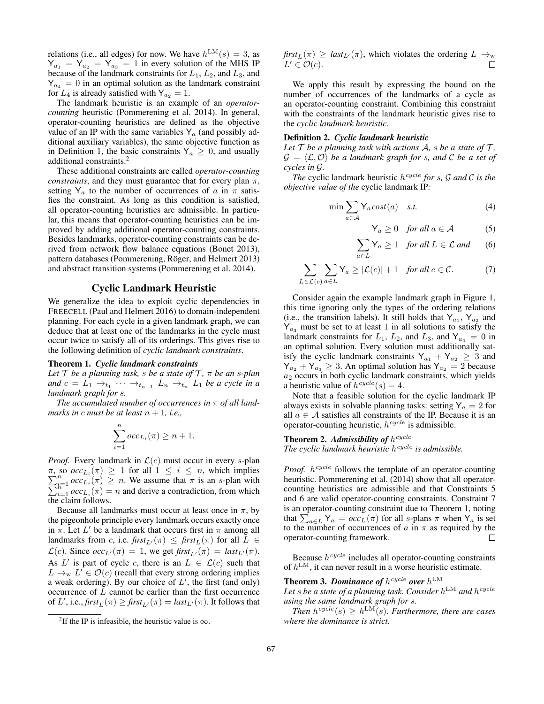relations (i.e., all edges) for now. We have  $h^{\text{LM}}(s) = 3$ , as  $Y_{a_1} = Y_{a_2} = Y_{a_3} = 1$  in every solution of the MHS IP because of the landmark constraints for  $L_1$ ,  $L_2$ , and  $L_3$ , and  $Y_{a_4} = 0$  in an optimal solution as the landmark constraint for  $L_4$  is already satisfied with  $Y_{a_2} = 1$ .

The landmark heuristic is an example of an *operatorcounting* heuristic (Pommerening et al. 2014). In general, operator-counting heuristics are defined as the objective value of an IP with the same variables  $Y_a$  (and possibly additional auxiliary variables), the same objective function as in Definition 1, the basic constraints  $Y_a \geq 0$ , and usually additional constraints.<sup>2</sup>

These additional constraints are called *operator-counting constraints*, and they must guarantee that for every plan  $\pi$ , setting  $Y_a$  to the number of occurrences of a in  $\pi$  satisfies the constraint. As long as this condition is satisfied, all operator-counting heuristics are admissible. In particular, this means that operator-counting heuristics can be improved by adding additional operator-counting constraints. Besides landmarks, operator-counting constraints can be derived from network flow balance equations (Bonet 2013), pattern databases (Pommerening, Röger, and Helmert 2013) and abstract transition systems (Pommerening et al. 2014).

### Cyclic Landmark Heuristic

We generalize the idea to exploit cyclic dependencies in FREECELL (Paul and Helmert 2016) to domain-independent planning. For each cycle in a given landmark graph, we can deduce that at least one of the landmarks in the cycle must occur twice to satisfy all of its orderings. This gives rise to the following definition of *cyclic landmark constraints*.

#### Theorem 1. *Cyclic landmark constraints*

*Let*  $\mathcal T$  *be a planning task, s be a state of*  $\mathcal T$ *,*  $\pi$  *be an s-plan* and  $c = L_1 \rightarrow_{t_1} \cdots \rightarrow_{t_{n-1}} L_n \rightarrow_{t_n} L_1$  *be a cycle in a landmark graph for* s*.*

*The accumulated number of occurrences in* π *of all landmarks in c must be at least*  $n + 1$ *, i.e.*,

$$
\sum_{i=1}^{n} occ_{L_i}(\pi) \ge n + 1.
$$

*Proof.* Every landmark in  $\mathcal{L}(c)$  must occur in every s-plan  $π$ , so *occ*<sub>Li</sub>(π) ≥ 1 for all  $1 ≤ i ≤ n$ , which implies  $\sum_{i=1}^{n} occ_{L_i}(π) ≥ n$ . We assume that π is an *s*-plan with  $\sum_{i=1}^{n} occ_{L_i}(π) = n$  and derive a contradiction, from which  $\pi$ , so  $\operatorname{occ}_{L_i}(\pi) \geq 1$  for all  $1 \leq i \leq n$ , which implies the claim follows.

Because all landmarks must occur at least once in  $\pi$ , by the pigeonhole principle every landmark occurs exactly once in  $\pi$ . Let L' be a landmark that occurs first in  $\pi$  among all landmarks from c, i.e.  $\text{first}_{L'}(\pi) \leq \text{first}_{L}(\pi)$  for all  $L \in$  $\mathcal{L}(c)$ . Since  $occ_{L'}(\pi) = 1$ , we get first<sub>L'</sub>( $\pi$ ) = last<sub>L'</sub>( $\pi$ ). As L' is part of cycle c, there is an  $L \in \mathcal{L}(c)$  such that  $L \to_w L' \in \mathcal{O}(c)$  (recall that every strong ordering implies a weak ordering). By our choice of  $L'$ , the first (and only) occurrence of L cannot be earlier than the first occurrence of L', i.e.,  $\text{first}_L(\pi) \geq \text{first}_{L'}(\pi) = \text{last}_{L'}(\pi)$ . It follows that

 $first_L(\pi) \geq last_{L'}(\pi)$ , which violates the ordering  $L \to_w$  $L' \in \mathcal{O}(c)$ .  $\Box$ 

We apply this result by expressing the bound on the number of occurrences of the landmarks of a cycle as an operator-counting constraint. Combining this constraint with the constraints of the landmark heuristic gives rise to the *cyclic landmark heuristic*.

#### Definition 2. *Cyclic landmark heuristic*

*Let*  $\mathcal T$  *be a planning task with actions*  $\mathcal A$ *, s be a state of*  $\mathcal T$ *,*  $\mathcal{G} = \langle \mathcal{L}, \mathcal{O} \rangle$  *be a landmark graph for s, and* C *be a set of cycles in* G*.*

*The* cyclic landmark heuristic h cycle *for* s*,* G *and* C *is the objective value of the* cyclic landmark IP*:*

$$
\min \sum_{a \in \mathcal{A}} \mathsf{Y}_a \, cost(a) \quad s.t. \tag{4}
$$

$$
Y_a \ge 0 \quad \text{for all } a \in \mathcal{A} \tag{5}
$$

$$
\sum_{a \in L} \mathsf{Y}_a \ge 1 \quad \text{for all } L \in \mathcal{L} \text{ and } \qquad (6)
$$

$$
\sum_{L \in \mathcal{L}(c)} \sum_{a \in L} Y_a \ge |\mathcal{L}(c)| + 1 \quad \text{for all } c \in \mathcal{C}.\tag{7}
$$

Consider again the example landmark graph in Figure 1, this time ignoring only the types of the ordering relations (i.e., the transition labels). It still holds that  $Y_{a_1}$ ,  $Y_{a_2}$  and  $Y_{a_3}$  must be set to at least 1 in all solutions to satisfy the landmark constraints for  $L_1$ ,  $L_2$ , and  $L_3$ , and  $Y_{a_4} = 0$  in an optimal solution. Every solution must additionally satisfy the cyclic landmark constraints  $Y_{a_1} + Y_{a_2} \geq 3$  and  $Y_{a_2} + Y_{a_3} \geq 3$ . An optimal solution has  $Y_{a_2} = 2$  because  $a_2$  occurs in both cyclic landmark constraints, which yields a heuristic value of  $h^{cycle}(s) = 4$ .

Note that a feasible solution for the cyclic landmark IP always exists in solvable planning tasks: setting  $Y_a = 2$  for all  $a \in \mathcal{A}$  satisfies all constraints of the IP. Because it is an operator-counting heuristic,  $h^{cycle}$  is admissible.

**Theorem 2. Admissibility of**  $h^{cycle}$ 

The cyclic landmark heuristic h<sup>cycle</sup> is admissible.

*Proof.*  $h^{cycle}$  follows the template of an operator-counting heuristic. Pommerening et al. (2014) show that all operatorcounting heuristics are admissible and that Constraints 5 and 6 are valid operator-counting constraints. Constraint 7 is an operator-counting constraint due to Theorem 1, noting that  $\sum_{a \in L} Y_a = occ_L(\pi)$  for all s-plans  $\pi$  when  $Y_a$  is set to the number of occurrences of  $\alpha$  in  $\pi$  as required by the operator-counting framework.

Because  $h^{cycle}$  includes all operator-counting constraints of  $h^{\text{LM}}$ , it can never result in a worse heuristic estimate.

**Theorem 3. Dominance of**  $h^{cycle}$  over  $h^{\text{LM}}$ Let  $s$  be a state of a planning task. Consider  $h^{\text{LM}}$  and  $h^{cycle}$ *using the same landmark graph for* s*.*

Then  $h^{cycle}(s) \geq h^{\text{LM}}(s)$ . Furthermore, there are cases *where the dominance is strict.*

<sup>&</sup>lt;sup>2</sup>If the IP is infeasible, the heuristic value is  $\infty$ .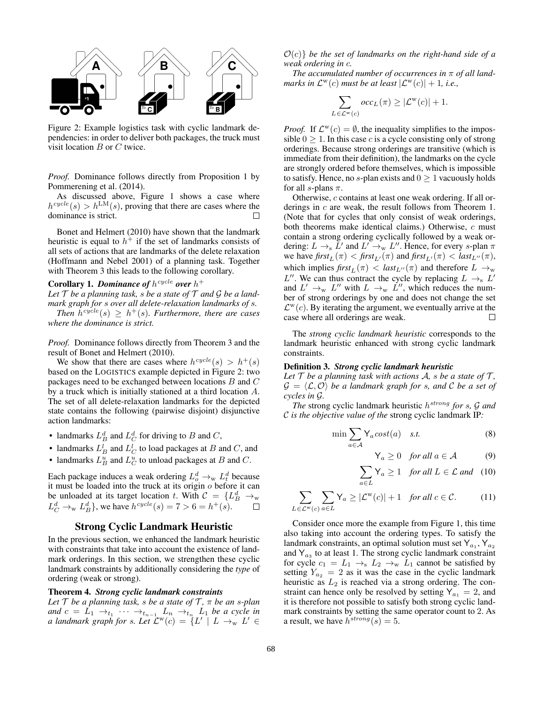

Figure 2: Example logistics task with cyclic landmark dependencies: in order to deliver both packages, the truck must visit location B or C twice.

*Proof.* Dominance follows directly from Proposition 1 by Pommerening et al. (2014).

As discussed above, Figure 1 shows a case where  $h^{cycle}(s) > h^{\text{LM}}(s)$ , proving that there are cases where the dominance is strict.

Bonet and Helmert (2010) have shown that the landmark heuristic is equal to  $h^+$  if the set of landmarks consists of all sets of actions that are landmarks of the delete relaxation (Hoffmann and Nebel 2001) of a planning task. Together with Theorem 3 this leads to the following corollary.

## **Corollary 1. Dominance of**  $h^{cycle}$  over  $h^+$

Let  $T$  *be a planning task, s be a state of*  $T$  *and*  $G$  *be a landmark graph for* s *over all delete-relaxation landmarks of* s*.* Then  $h^{cycle}(s) \geq h^{+}(s)$ . Furthermore, there are cases

*where the dominance is strict.*

*Proof.* Dominance follows directly from Theorem 3 and the result of Bonet and Helmert (2010).

We show that there are cases where  $h^{cycle}(s) > h^{+}(s)$ based on the LOGISTICS example depicted in Figure 2: two packages need to be exchanged between locations B and C by a truck which is initially stationed at a third location A. The set of all delete-relaxation landmarks for the depicted state contains the following (pairwise disjoint) disjunctive action landmarks:

- landmarks  $L_B^d$  and  $L_C^d$  for driving to B and C,
- landmarks  $L_B^l$  and  $L_C^l$  to load packages at B and C, and
- landmarks  $L_B^u$  and  $L_C^u$  to unload packages at B and C.

Each package induces a weak ordering  $L^d_o \rightarrow_w L^d_t$  because it must be loaded into the truck at its origin  $o$  before it can be unloaded at its target location t. With  $C = \{L_B^d \rightarrow_w$  $L_C^d \rightarrow_w L_B^d$ , we have  $h^{cycle}(s) = 7 > 6 = h^+(s)$ .

### Strong Cyclic Landmark Heuristic

In the previous section, we enhanced the landmark heuristic with constraints that take into account the existence of landmark orderings. In this section, we strengthen these cyclic landmark constraints by additionally considering the *type* of ordering (weak or strong).

### Theorem 4. *Strong cyclic landmark constraints*

*Let*  $\mathcal T$  *be a planning task, s be a state of*  $\mathcal T$ *,*  $\pi$  *be an s-plan* and  $c = L_1 \rightarrow_{t_1} \cdots \rightarrow_{t_{n-1}} L_n \rightarrow_{t_n} L_1$  *be a cycle in a landmark graph for s. Let*  $\mathcal{L}^w(c) = \{L' \mid L \to_w L' \in$ 

 $\mathcal{O}(c)$  *be the set of landmarks on the right-hand side of a weak ordering in* c*.*

*The accumulated number of occurrences in* π *of all landmarks in*  $\mathcal{L}^{\text{w}}(c)$  *must be at least*  $|\mathcal{L}^{\text{w}}(c)| + 1$ *, i.e.,* 

$$
\sum_{L \in \mathcal{L}^{\mathbf{w}}(c)} occ_L(\pi) \ge |\mathcal{L}^{\mathbf{w}}(c)| + 1.
$$

*Proof.* If  $\mathcal{L}^w(c) = \emptyset$ , the inequality simplifies to the impossible  $0 \geq 1$ . In this case c is a cycle consisting only of strong orderings. Because strong orderings are transitive (which is immediate from their definition), the landmarks on the cycle are strongly ordered before themselves, which is impossible to satisfy. Hence, no s-plan exists and  $0 \geq 1$  vacuously holds for all s-plans  $\pi$ .

Otherwise, c contains at least one weak ordering. If all orderings in c are weak, the result follows from Theorem 1. (Note that for cycles that only consist of weak orderings, both theorems make identical claims.) Otherwise, c must contain a strong ordering cyclically followed by a weak ordering:  $L \rightarrow_s \bar{L}'$  and  $L' \rightarrow_w L''$ . Hence, for every s-plan  $\pi$ we have  $\text{first}_{L}(\pi) < \text{first}_{L'}(\pi)$  and  $\text{first}_{L'}(\pi) < \text{last}_{L''}(\pi)$ , which implies  $\text{first}_{L}(\pi) < \text{last}_{L}(\pi)$  and therefore  $L \to_w$  $L''$ . We can thus contract the cycle by replacing  $L \rightarrow_{\rm s} L'$ and  $L' \to_w L''$  with  $L \to_w L''$ , which reduces the number of strong orderings by one and does not change the set  $\mathcal{L}^{\text{w}}(c)$ . By iterating the argument, we eventually arrive at the case where all orderings are weak. П

The *strong cyclic landmark heuristic* corresponds to the landmark heuristic enhanced with strong cyclic landmark constraints.

#### Definition 3. *Strong cyclic landmark heuristic*

*Let*  $\mathcal T$  *be a planning task with actions*  $\mathcal A$ *, s be a state of*  $\mathcal T$ *,*  $\mathcal{G} = \langle \mathcal{L}, \mathcal{O} \rangle$  *be a landmark graph for s, and* C *be a set of cycles in* G*.*

*The* strong cyclic landmark heuristic h strong *for* s*,* G *and* C *is the objective value of the* strong cyclic landmark IP*:*

$$
\min \sum_{a \in \mathcal{A}} \mathsf{Y}_a \, cost(a) \quad s.t. \tag{8}
$$

$$
Y_a \ge 0 \quad for all a \in \mathcal{A}
$$
 (9)

$$
\sum_{a \in L} \mathsf{Y}_a \ge 1 \quad \text{for all } L \in \mathcal{L} \text{ and } \quad (10)
$$

$$
\sum_{L \in \mathcal{L}^{\mathbf{w}}(c)} \sum_{a \in L} \mathsf{Y}_a \ge |\mathcal{L}^{\mathbf{w}}(c)| + 1 \quad \text{for all } c \in \mathcal{C}.
$$
 (11)

Consider once more the example from Figure 1, this time also taking into account the ordering types. To satisfy the landmark constraints, an optimal solution must set  $Y_{a_1}, Y_{a_2}$ and  $Y_{a_3}$  to at least 1. The strong cyclic landmark constraint for cycle  $c_1 = L_1 \rightarrow_s L_2 \rightarrow_w L_1$  cannot be satisfied by setting  $Y_{a_2} = 2$  as it was the case in the cyclic landmark heuristic as  $L_2$  is reached via a strong ordering. The constraint can hence only be resolved by setting  $Y_{a_1} = 2$ , and it is therefore not possible to satisfy both strong cyclic landmark constraints by setting the same operator count to 2. As a result, we have  $h^{strong}(s) = 5$ .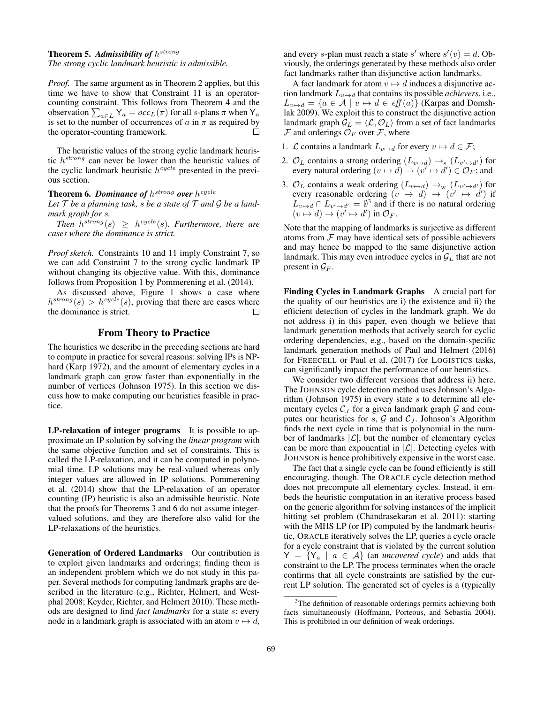## Theorem 5. *Admissibility of* h strong

*The strong cyclic landmark heuristic is admissible.*

*Proof.* The same argument as in Theorem 2 applies, but this time we have to show that Constraint 11 is an operatorcounting constraint. This follows from Theorem 4 and the observation  $\sum_{a \in L} Y_a = occ_L(\pi)$  for all *s*-plans  $\pi$  when Y<sub>a</sub> is set to the number of occurrences of a in  $\pi$  as required by the operator-counting framework. П

The heuristic values of the strong cyclic landmark heuristic  $h^{strong}$  can never be lower than the heuristic values of the cyclic landmark heuristic  $h^{cycle}$  presented in the previous section.

## **Theorem 6. Dominance of**  $h^{strong}$  over  $h^{cycle}$

Let  $\mathcal T$  *be a planning task, s be a state of*  $\mathcal T$  *and*  $\mathcal G$  *be a landmark graph for* s*.*

Then  $h^{strong}(s) \geq h^{cycle}(s)$ . Furthermore, there are *cases where the dominance is strict.*

*Proof sketch.* Constraints 10 and 11 imply Constraint 7, so we can add Constraint 7 to the strong cyclic landmark IP without changing its objective value. With this, dominance follows from Proposition 1 by Pommerening et al. (2014).

As discussed above, Figure 1 shows a case where  $h^{strong}(s) > h^{cycle}(s)$ , proving that there are cases where the dominance is strict. П

### From Theory to Practice

The heuristics we describe in the preceding sections are hard to compute in practice for several reasons: solving IPs is NPhard (Karp 1972), and the amount of elementary cycles in a landmark graph can grow faster than exponentially in the number of vertices (Johnson 1975). In this section we discuss how to make computing our heuristics feasible in practice.

LP-relaxation of integer programs It is possible to approximate an IP solution by solving the *linear program* with the same objective function and set of constraints. This is called the LP-relaxation, and it can be computed in polynomial time. LP solutions may be real-valued whereas only integer values are allowed in IP solutions. Pommerening et al. (2014) show that the LP-relaxation of an operator counting (IP) heuristic is also an admissible heuristic. Note that the proofs for Theorems 3 and 6 do not assume integervalued solutions, and they are therefore also valid for the LP-relaxations of the heuristics.

Generation of Ordered Landmarks Our contribution is to exploit given landmarks and orderings; finding them is an independent problem which we do not study in this paper. Several methods for computing landmark graphs are described in the literature (e.g., Richter, Helmert, and Westphal 2008; Keyder, Richter, and Helmert 2010). These methods are designed to find *fact landmarks* for a state s: every node in a landmark graph is associated with an atom  $v \mapsto d$ ,

and every s-plan must reach a state s' where  $s'(v) = d$ . Obviously, the orderings generated by these methods also order fact landmarks rather than disjunctive action landmarks.

A fact landmark for atom  $v \mapsto d$  induces a disjunctive action landmark  $L_{v\mapsto d}$  that contains its possible *achievers*, i.e.,  $L_{v\mapsto d} = \{a \in \mathcal{A} \mid v \mapsto d \in \text{eff}(a)\}\$  (Karpas and Domshlak 2009). We exploit this to construct the disjunctive action landmark graph  $\mathcal{G}_L = \langle \mathcal{L}, \mathcal{O}_L \rangle$  from a set of fact landmarks  $\mathcal F$  and orderings  $\mathcal O_F$  over  $\mathcal F$ , where

- 1. *L* contains a landmark  $L_{v\mapsto d}$  for every  $v \mapsto d \in \mathcal{F}$ ;
- 2.  $\mathcal{O}_L$  contains a strong ordering  $(L_{v \mapsto d}) \to_{s} (L_{v' \mapsto d'})$  for every natural ordering  $(v \mapsto d) \rightarrow (v' \mapsto d') \in \mathcal{O}_F$ ; and
- 3.  $\mathcal{O}_L$  contains a weak ordering  $(L_{v \mapsto d}) \to_w (L_{v' \mapsto d'})$  for every reasonable ordering  $(v \mapsto d) \rightarrow (v' \mapsto d')$  if  $L_{v \mapsto d} \cap L_{v' \mapsto d'} = \emptyset^3$  and if there is no natural ordering  $(v \mapsto d) \rightarrow (v' \mapsto d')$  in  $\mathcal{O}_F$ .

Note that the mapping of landmarks is surjective as different atoms from  $\mathcal F$  may have identical sets of possible achievers and may hence be mapped to the same disjunctive action landmark. This may even introduce cycles in  $\mathcal{G}_L$  that are not present in  $\mathcal{G}_F$ .

Finding Cycles in Landmark Graphs A crucial part for the quality of our heuristics are i) the existence and ii) the efficient detection of cycles in the landmark graph. We do not address i) in this paper, even though we believe that landmark generation methods that actively search for cyclic ordering dependencies, e.g., based on the domain-specific landmark generation methods of Paul and Helmert (2016) for FREECELL or Paul et al. (2017) for LOGISTICS tasks, can significantly impact the performance of our heuristics.

We consider two different versions that address ii) here. The JOHNSON cycle detection method uses Johnson's Algorithm (Johnson 1975) in every state  $s$  to determine all elementary cycles  $C_J$  for a given landmark graph  $G$  and computes our heuristics for  $s$ ,  $\mathcal G$  and  $\mathcal C_J$ . Johnson's Algorithm finds the next cycle in time that is polynomial in the number of landmarks  $|\mathcal{L}|$ , but the number of elementary cycles can be more than exponential in  $|\mathcal{L}|$ . Detecting cycles with JOHNSON is hence prohibitively expensive in the worst case.

The fact that a single cycle can be found efficiently is still encouraging, though. The ORACLE cycle detection method does not precompute all elementary cycles. Instead, it embeds the heuristic computation in an iterative process based on the generic algorithm for solving instances of the implicit hitting set problem (Chandrasekaran et al. 2011): starting with the MHS LP (or IP) computed by the landmark heuristic, ORACLE iteratively solves the LP, queries a cycle oracle for a cycle constraint that is violated by the current solution  $Y = \{Y_a \mid a \in A\}$  (an *uncovered cycle*) and adds that constraint to the LP. The process terminates when the oracle confirms that all cycle constraints are satisfied by the current LP solution. The generated set of cycles is a (typically

<sup>&</sup>lt;sup>3</sup>The definition of reasonable orderings permits achieving both facts simultaneously (Hoffmann, Porteous, and Sebastia 2004). This is prohibited in our definition of weak orderings.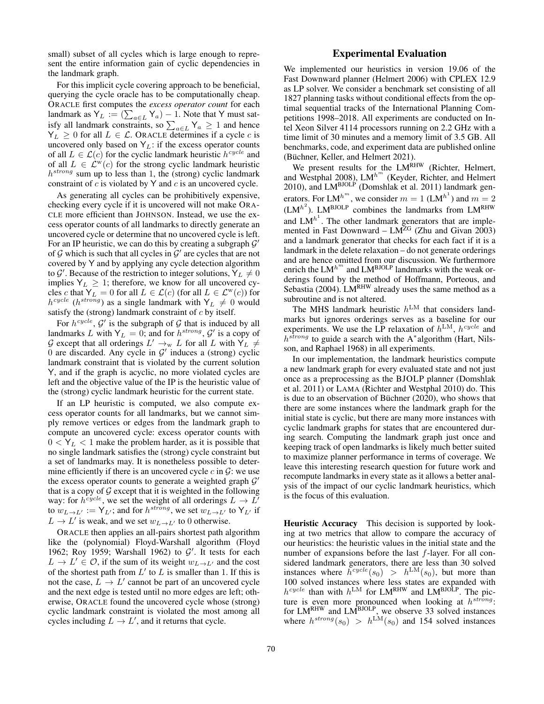small) subset of all cycles which is large enough to represent the entire information gain of cyclic dependencies in the landmark graph.

For this implicit cycle covering approach to be beneficial, querying the cycle oracle has to be computationally cheap. ORACLE first computes the *excess operator count* for each landmark as  $Y_L := (\sum_{a \in L} Y_a) - 1$ . Note that Y must satisfy all landmark constraints, so  $\sum_{a \in L} Y_a \ge 1$  and hence  $Y_L \geq 0$  for all  $L \in \mathcal{L}$ . Or ACLE determines if a cycle c is uncovered only based on  $Y_L$ : if the excess operator counts of all  $L \in \mathcal{L}(c)$  for the cyclic landmark heuristic  $h^{cycle}$  and of all  $L \in \mathcal{L}^w(c)$  for the strong cyclic landmark heuristic h<sup>strong</sup> sum up to less than 1, the (strong) cyclic landmark constraint of  $c$  is violated by Y and  $c$  is an uncovered cycle.

As generating all cycles can be prohibitively expensive, checking every cycle if it is uncovered will not make ORA-CLE more efficient than JOHNSON. Instead, we use the excess operator counts of all landmarks to directly generate an uncovered cycle or determine that no uncovered cycle is left. For an IP heuristic, we can do this by creating a subgraph  $\mathcal{G}'$ of  $G$  which is such that all cycles in  $G'$  are cycles that are not covered by Y and by applying any cycle detection algorithm to  $\mathcal{G}'$ . Because of the restriction to integer solutions,  $\mathsf{Y}_L \neq 0$ implies  $Y_L \geq 1$ ; therefore, we know for all uncovered cycles c that  $Y_L = 0$  for all  $L \in \mathcal{L}(c)$  (for all  $L \in \mathcal{L}^w(c)$ ) for  $h^{cycle}$  ( $h^{strong}$ ) as a single landmark with  $Y_L \neq 0$  would satisfy the (strong) landmark constraint of  $c$  by itself.

For  $h^{cycle}$ ,  $G'$  is the subgraph of G that is induced by all landmarks L with  $Y_L = 0$ ; and for  $h^{strong}$ ,  $G'$  is a copy of G except that all orderings  $L' \rightarrow_w L$  for all L with  $\tilde{Y_L} \neq$ 0 are discarded. Any cycle in  $G'$  induces a (strong) cyclic landmark constraint that is violated by the current solution Y, and if the graph is acyclic, no more violated cycles are left and the objective value of the IP is the heuristic value of the (strong) cyclic landmark heuristic for the current state.

If an LP heuristic is computed, we also compute excess operator counts for all landmarks, but we cannot simply remove vertices or edges from the landmark graph to compute an uncovered cycle: excess operator counts with  $0 < Y_L < 1$  make the problem harder, as it is possible that no single landmark satisfies the (strong) cycle constraint but a set of landmarks may. It is nonetheless possible to determine efficiently if there is an uncovered cycle  $c$  in  $\mathcal{G}$ : we use the excess operator counts to generate a weighted graph  $G'$ that is a copy of  $G$  except that it is weighted in the following way: for  $h^{cycle}$ , we set the weight of all orderings  $L \rightarrow L'$ to  $w_{L\to L'} := Y_{L'}$ ; and for  $h^{strong}$ , we set  $w_{L\to L'}$  to  $Y_{L'}$  if  $L \rightarrow L'$  is weak, and we set  $w_{L \rightarrow L'}$  to 0 otherwise.

ORACLE then applies an all-pairs shortest path algorithm like the (polynomial) Floyd-Warshall algorithm (Floyd 1962; Roy 1959; Warshall 1962) to  $G'$ . It tests for each  $L \to L' \in \mathcal{O}$ , if the sum of its weight  $w_{L \to L'}$  and the cost of the shortest path from  $L'$  to  $L$  is smaller than 1. If this is not the case,  $\overline{L} \to L'$  cannot be part of an uncovered cycle and the next edge is tested until no more edges are left; otherwise, ORACLE found the uncovered cycle whose (strong) cyclic landmark constraint is violated the most among all cycles including  $L \to L'$ , and it returns that cycle.

## Experimental Evaluation

We implemented our heuristics in version 19.06 of the Fast Downward planner (Helmert 2006) with CPLEX 12.9 as LP solver. We consider a benchmark set consisting of all 1827 planning tasks without conditional effects from the optimal sequential tracks of the International Planning Competitions 1998–2018. All experiments are conducted on Intel Xeon Silver 4114 processors running on 2.2 GHz with a time limit of 30 minutes and a memory limit of 3.5 GB. All benchmarks, code, and experiment data are published online (Büchner, Keller, and Helmert 2021).

We present results for the LMRHW (Richter, Helmert, and Westphal 2008),  $LM^{h^m}$  (Keyder, Richter, and Helmert 2010), and LM<sup>BJOLP</sup> (Domshlak et al. 2011) landmark generators. For LM<sup>h<sup>m</sup></sup>, we consider  $m = 1$  (LM<sup>h<sup>1</sup>) and  $m = 2$ </sup>  $(LM^{h^2})$ . LM<sup>BJOLP</sup> combines the landmarks from LM<sup>RHW</sup> and  $LM^{h<sup>1</sup>$ . The other landmark generators that are implemented in Fast Downward –  $LM^{ZG}$  (Zhu and Givan 2003) and a landmark generator that checks for each fact if it is a landmark in the delete relaxation – do not generate orderings and are hence omitted from our discussion. We furthermore enrich the  $LM^{h^m}$  and  $LM^{BJOLP}$  landmarks with the weak orderings found by the method of Hoffmann, Porteous, and Sebastia (2004). LMRHW already uses the same method as a subroutine and is not altered.

The MHS landmark heuristic  $h^{\text{LM}}$  that considers landmarks but ignores orderings serves as a baseline for our experiments. We use the LP relaxation of  $h^{\text{LM}}$ ,  $h^{cycle}$  and  $h^{strong}$  to guide a search with the A<sup>\*</sup>algorithm (Hart, Nilsson, and Raphael 1968) in all experiments.

In our implementation, the landmark heuristics compute a new landmark graph for every evaluated state and not just once as a preprocessing as the BJOLP planner (Domshlak et al. 2011) or LAMA (Richter and Westphal 2010) do. This is due to an observation of Büchner  $(2020)$ , who shows that there are some instances where the landmark graph for the initial state is cyclic, but there are many more instances with cyclic landmark graphs for states that are encountered during search. Computing the landmark graph just once and keeping track of open landmarks is likely much better suited to maximize planner performance in terms of coverage. We leave this interesting research question for future work and recompute landmarks in every state as it allows a better analysis of the impact of our cyclic landmark heuristics, which is the focus of this evaluation.

Heuristic Accuracy This decision is supported by looking at two metrics that allow to compare the accuracy of our heuristics: the heuristic values in the initial state and the number of expansions before the last  $f$ -layer. For all considered landmark generators, there are less than 30 solved instances where  $\bar{h}^{cycle}(s_0) > h^{\text{LM}}(s_0)$ , but more than 100 solved instances where less states are expanded with  $h^{cycle}$  than with  $h^{\text{LM}}$  for LM<sup>RHW</sup> and LM<sup>BJOLP</sup>. The picture is even more pronounced when looking at  $h^{strong}$ : for  $LM<sup>RHW</sup>$  and  $LM<sup>BJOLP</sup>$ , we observe 33 solved instances where  $h^{strong}(s_0) > h^{\text{LM}}(s_0)$  and 154 solved instances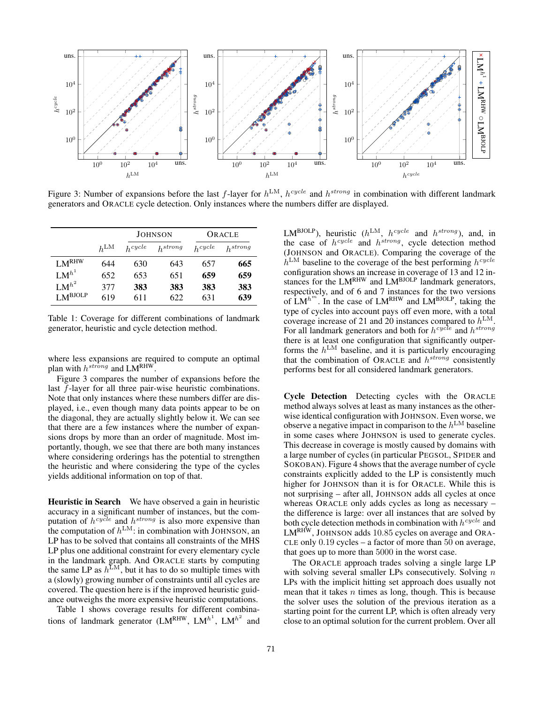

Figure 3: Number of expansions before the last f-layer for  $h^{LM}$ ,  $h^{cycle}$  and  $h^{strong}$  in combination with different landmark generators and ORACLE cycle detection. Only instances where the numbers differ are displayed.

|                     |        | <b>JOHNSON</b> |              | ORACLE    |              |
|---------------------|--------|----------------|--------------|-----------|--------------|
|                     | $h$ LM | $h^{cycle}$    | $h^{strong}$ | $h$ cycle | $h^{strong}$ |
| LM <sup>RHW</sup>   | 644    | 630            | 643          | 657       | 665          |
| $LM^{h^1}$          | 652    | 653            | 651          | 659       | 659          |
| $LM^{h^2}$          | 377    | 383            | 383          | 383       | 383          |
| $LM^{\text{BJOLP}}$ | 619    | 611            | 622          | 631       | 639          |

Table 1: Coverage for different combinations of landmark generator, heuristic and cycle detection method.

where less expansions are required to compute an optimal plan with  $h^{strong}$  and  $LM^{RHW}$ .

Figure 3 compares the number of expansions before the last f-layer for all three pair-wise heuristic combinations. Note that only instances where these numbers differ are displayed, i.e., even though many data points appear to be on the diagonal, they are actually slightly below it. We can see that there are a few instances where the number of expansions drops by more than an order of magnitude. Most importantly, though, we see that there are both many instances where considering orderings has the potential to strengthen the heuristic and where considering the type of the cycles yields additional information on top of that.

Heuristic in Search We have observed a gain in heuristic accuracy in a significant number of instances, but the computation of  $h^{cyclic}$  and  $h^{strong}$  is also more expensive than the computation of  $h^{\text{LM}}$ : in combination with JOHNSON, an LP has to be solved that contains all constraints of the MHS LP plus one additional constraint for every elementary cycle in the landmark graph. And ORACLE starts by computing the same LP as  $h^{\text{LM}}$ , but it has to do so multiple times with a (slowly) growing number of constraints until all cycles are covered. The question here is if the improved heuristic guidance outweighs the more expensive heuristic computations.

Table 1 shows coverage results for different combinations of landmark generator (LMR<sup>HW</sup>, LM<sup>h<sup>1</sup>, LM<sup>h<sup>2</sup></sup> and</sup>

LM<sup>BJOLP</sup>), heuristic ( $h^{\text{LM}}$ ,  $h^{cycle}$  and  $h^{strong}$ ), and, in the case of  $h^{cycle}$  and  $h^{strong}$ , cycle detection method (JOHNSON and ORACLE). Comparing the coverage of the  $h^{\text{LM}}$  baseline to the coverage of the best performing  $h^{cycle}$ configuration shows an increase in coverage of 13 and 12 instances for the LM<sup>RHW</sup> and LM<sup>BJOLP</sup> landmark generators, respectively, and of 6 and 7 instances for the two versions of  $LM^{h^m}$ . In the case of  $LM^{RHW}$  and  $LM^{BJOLP}$ , taking the type of cycles into account pays off even more, with a total coverage increase of 21 and 20 instances compared to  $h^{\text{LM}}$ . For all landmark generators and both for  $h^{cycle}$  and  $h^{strong}$ there is at least one configuration that significantly outperforms the  $h^{\text{LM}}$  baseline, and it is particularly encouraging that the combination of ORACLE and  $h^{strong}$  consistently performs best for all considered landmark generators.

Cycle Detection Detecting cycles with the ORACLE method always solves at least as many instances as the otherwise identical configuration with JOHNSON. Even worse, we observe a negative impact in comparison to the  $h^{\text{LM}}$  baseline in some cases where JOHNSON is used to generate cycles. This decrease in coverage is mostly caused by domains with a large number of cycles (in particular PEGSOL, SPIDER and SOKOBAN). Figure 4 shows that the average number of cycle constraints explicitly added to the LP is consistently much higher for JOHNSON than it is for ORACLE. While this is not surprising – after all, JOHNSON adds all cycles at once whereas ORACLE only adds cycles as long as necessary – the difference is large: over all instances that are solved by both cycle detection methods in combination with  $h^{cycle}$  and  $LM<sup>RHW</sup>$ , JOHNSON adds 10.85 cycles on average and ORA-CLE only 0.19 cycles – a factor of more than 50 on average, that goes up to more than 5000 in the worst case.

The ORACLE approach trades solving a single large LP with solving several smaller LPs consecutively. Solving  $n$ LPs with the implicit hitting set approach does usually not mean that it takes  $n$  times as long, though. This is because the solver uses the solution of the previous iteration as a starting point for the current LP, which is often already very close to an optimal solution for the current problem. Over all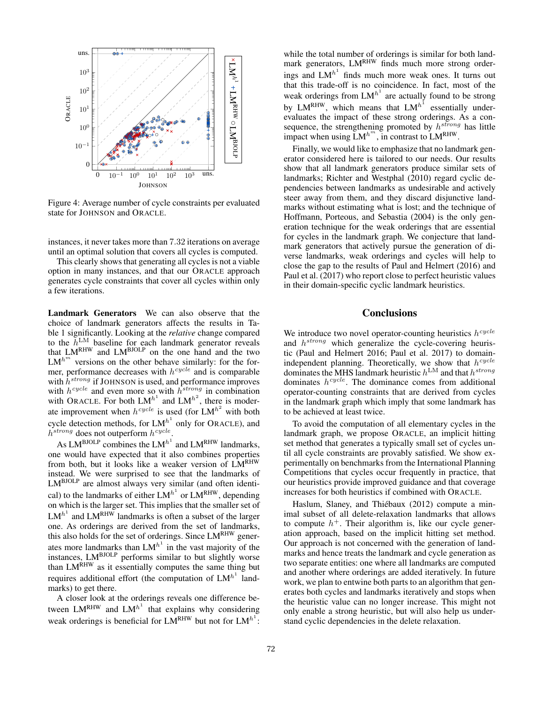

Figure 4: Average number of cycle constraints per evaluated state for JOHNSON and ORACLE.

instances, it never takes more than 7.32 iterations on average until an optimal solution that covers all cycles is computed.

This clearly shows that generating all cycles is not a viable option in many instances, and that our ORACLE approach generates cycle constraints that cover all cycles within only a few iterations.

Landmark Generators We can also observe that the choice of landmark generators affects the results in Table 1 significantly. Looking at the *relative* change compared to the  $\bar{h}^{\text{LM}}$  baseline for each landmark generator reveals that  $LM<sup>RHW</sup>$  and  $LM<sup>BJOLP</sup>$  on the one hand and the two  $LM^{h^m}$  versions on the other behave similarly: for the former, performance decreases with  $h^{cycle}$  and is comparable with  $\bar{h}^{strong}$  if JOHNSON is used, and performance improves with  $h^{cycle}$  and even more so with  $h^{strong}$  in combination with ORACLE. For both  $LM^{h^1}$  and  $LM^{h^2}$ , there is moderate improvement when  $h^{cycle}$  is used (for  $LM^{h^2}$  with both cycle detection methods, for  $LM^{h^1}$  only for ORACLE), and  $h^{strong}$  does not outperform  $h^{cycle}$ .

As  $LM^{\text{BJOLP}}$  combines the  $LM^{\text{h}^1}$  and  $LM^{\text{RHW}}$  landmarks, one would have expected that it also combines properties from both, but it looks like a weaker version of LMRHW instead. We were surprised to see that the landmarks of  $LM^{BJOLP}$  are almost always very similar (and often identical) to the landmarks of either  $LM^{h^1}$  or  $LM^{RHW}$ , depending on which is the larger set. This implies that the smaller set of  $LM^{h^1}$  and  $LM^{RHW}$  landmarks is often a subset of the larger one. As orderings are derived from the set of landmarks, this also holds for the set of orderings. Since  $LM<sup>RHW</sup>$  generates more landmarks than  $LM^{h<sup>1</sup>}$  in the vast majority of the instances, LMBJOLP performs similar to but slightly worse than LMRHW as it essentially computes the same thing but requires additional effort (the computation of  $LM^{h^1}$  landmarks) to get there.

A closer look at the orderings reveals one difference between  $LM<sup>RHW</sup>$  and  $LM<sup>h<sup>1</sup></sup>$  that explains why considering weak orderings is beneficial for  $LM<sup>RHW</sup>$  but not for  $LM<sup>h<sup>1</sup></sup>$ :

while the total number of orderings is similar for both landmark generators,  $LM<sup>RHW</sup>$  finds much more strong orderings and  $LM^{h<sup>1</sup>}$  finds much more weak ones. It turns out that this trade-off is no coincidence. In fact, most of the weak orderings from  $LM^{h^1}$  are actually found to be strong by LM<sup>RHW</sup>, which means that  $LM^{h<sup>1</sup>}$  essentially underevaluates the impact of these strong orderings. As a consequence, the strengthening promoted by  $h^{strong}$  has little impact when using  $\text{LM}^{h^m}$ , in contrast to  $\text{LM}^{\text{RHW}}$ .

Finally, we would like to emphasize that no landmark generator considered here is tailored to our needs. Our results show that all landmark generators produce similar sets of landmarks; Richter and Westphal (2010) regard cyclic dependencies between landmarks as undesirable and actively steer away from them, and they discard disjunctive landmarks without estimating what is lost; and the technique of Hoffmann, Porteous, and Sebastia (2004) is the only generation technique for the weak orderings that are essential for cycles in the landmark graph. We conjecture that landmark generators that actively pursue the generation of diverse landmarks, weak orderings and cycles will help to close the gap to the results of Paul and Helmert (2016) and Paul et al. (2017) who report close to perfect heuristic values in their domain-specific cyclic landmark heuristics.

## **Conclusions**

We introduce two novel operator-counting heuristics  $h^{cycle}$ and  $h^{strong}$  which generalize the cycle-covering heuristic (Paul and Helmert 2016; Paul et al. 2017) to domainindependent planning. Theoretically, we show that  $h^{cycle}$ dominates the MHS landmark heuristic  $h^{\text{LM}}$  and that  $h^{strong}$ dominates  $h^{cycle}$ . The dominance comes from additional operator-counting constraints that are derived from cycles in the landmark graph which imply that some landmark has to be achieved at least twice.

To avoid the computation of all elementary cycles in the landmark graph, we propose ORACLE, an implicit hitting set method that generates a typically small set of cycles until all cycle constraints are provably satisfied. We show experimentally on benchmarks from the International Planning Competitions that cycles occur frequently in practice, that our heuristics provide improved guidance and that coverage increases for both heuristics if combined with ORACLE.

Haslum, Slaney, and Thiébaux (2012) compute a minimal subset of all delete-relaxation landmarks that allows to compute  $h^+$ . Their algorithm is, like our cycle generation approach, based on the implicit hitting set method. Our approach is not concerned with the generation of landmarks and hence treats the landmark and cycle generation as two separate entities: one where all landmarks are computed and another where orderings are added iteratively. In future work, we plan to entwine both parts to an algorithm that generates both cycles and landmarks iteratively and stops when the heuristic value can no longer increase. This might not only enable a strong heuristic, but will also help us understand cyclic dependencies in the delete relaxation.